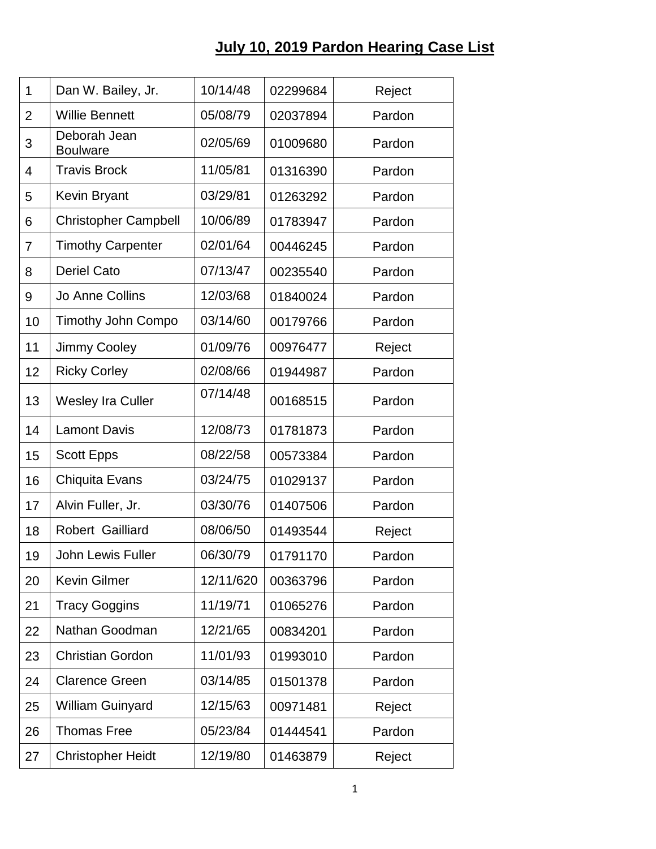## **July 10, 2019 Pardon Hearing Case List**

| $\mathbf{1}$   | Dan W. Bailey, Jr.              | 10/14/48  | 02299684 | Reject |
|----------------|---------------------------------|-----------|----------|--------|
| $\overline{2}$ | <b>Willie Bennett</b>           | 05/08/79  | 02037894 | Pardon |
| 3              | Deborah Jean<br><b>Boulware</b> | 02/05/69  | 01009680 | Pardon |
| 4              | <b>Travis Brock</b>             | 11/05/81  | 01316390 | Pardon |
| 5              | Kevin Bryant                    | 03/29/81  | 01263292 | Pardon |
| 6              | <b>Christopher Campbell</b>     | 10/06/89  | 01783947 | Pardon |
| 7              | <b>Timothy Carpenter</b>        | 02/01/64  | 00446245 | Pardon |
| 8              | <b>Deriel Cato</b>              | 07/13/47  | 00235540 | Pardon |
| 9              | Jo Anne Collins                 | 12/03/68  | 01840024 | Pardon |
| 10             | <b>Timothy John Compo</b>       | 03/14/60  | 00179766 | Pardon |
| 11             | <b>Jimmy Cooley</b>             | 01/09/76  | 00976477 | Reject |
| 12             | <b>Ricky Corley</b>             | 02/08/66  | 01944987 | Pardon |
| 13             | <b>Wesley Ira Culler</b>        | 07/14/48  | 00168515 | Pardon |
| 14             | <b>Lamont Davis</b>             | 12/08/73  | 01781873 | Pardon |
| 15             | <b>Scott Epps</b>               | 08/22/58  | 00573384 | Pardon |
| 16             | Chiquita Evans                  | 03/24/75  | 01029137 | Pardon |
| 17             | Alvin Fuller, Jr.               | 03/30/76  | 01407506 | Pardon |
| 18             | Robert Gailliard                | 08/06/50  | 01493544 | Reject |
| 19             | John Lewis Fuller               | 06/30/79  | 01791170 | Pardon |
| 20             | <b>Kevin Gilmer</b>             | 12/11/620 | 00363796 | Pardon |
| 21             | <b>Tracy Goggins</b>            | 11/19/71  | 01065276 | Pardon |
| 22             | Nathan Goodman                  | 12/21/65  | 00834201 | Pardon |
| 23             | <b>Christian Gordon</b>         | 11/01/93  | 01993010 | Pardon |
| 24             | <b>Clarence Green</b>           | 03/14/85  | 01501378 | Pardon |
| 25             | <b>William Guinyard</b>         | 12/15/63  | 00971481 | Reject |
| 26             | <b>Thomas Free</b>              | 05/23/84  | 01444541 | Pardon |
| 27             | <b>Christopher Heidt</b>        | 12/19/80  | 01463879 | Reject |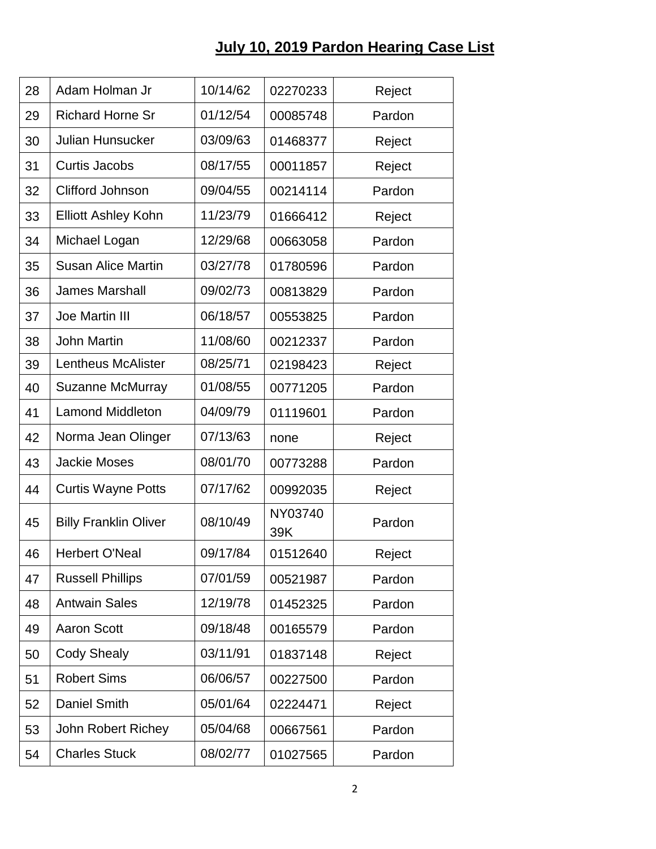## **July 10, 2019 Pardon Hearing Case List**

| 28 | Adam Holman Jr               | 10/14/62 | 02270233       | Reject |
|----|------------------------------|----------|----------------|--------|
| 29 | <b>Richard Horne Sr</b>      | 01/12/54 | 00085748       | Pardon |
| 30 | <b>Julian Hunsucker</b>      | 03/09/63 | 01468377       | Reject |
| 31 | <b>Curtis Jacobs</b>         | 08/17/55 | 00011857       | Reject |
| 32 | Clifford Johnson             | 09/04/55 | 00214114       | Pardon |
| 33 | <b>Elliott Ashley Kohn</b>   | 11/23/79 | 01666412       | Reject |
| 34 | Michael Logan                | 12/29/68 | 00663058       | Pardon |
| 35 | <b>Susan Alice Martin</b>    | 03/27/78 | 01780596       | Pardon |
| 36 | <b>James Marshall</b>        | 09/02/73 | 00813829       | Pardon |
| 37 | <b>Joe Martin III</b>        | 06/18/57 | 00553825       | Pardon |
| 38 | <b>John Martin</b>           | 11/08/60 | 00212337       | Pardon |
| 39 | <b>Lentheus McAlister</b>    | 08/25/71 | 02198423       | Reject |
| 40 | <b>Suzanne McMurray</b>      | 01/08/55 | 00771205       | Pardon |
| 41 | <b>Lamond Middleton</b>      | 04/09/79 | 01119601       | Pardon |
| 42 | Norma Jean Olinger           | 07/13/63 | none           | Reject |
| 43 | <b>Jackie Moses</b>          | 08/01/70 | 00773288       | Pardon |
| 44 | <b>Curtis Wayne Potts</b>    | 07/17/62 | 00992035       | Reject |
| 45 | <b>Billy Franklin Oliver</b> | 08/10/49 | NY03740<br>39K | Pardon |
| 46 | <b>Herbert O'Neal</b>        | 09/17/84 | 01512640       | Reject |
| 47 | <b>Russell Phillips</b>      | 07/01/59 | 00521987       | Pardon |
| 48 | <b>Antwain Sales</b>         | 12/19/78 | 01452325       | Pardon |
| 49 | <b>Aaron Scott</b>           | 09/18/48 | 00165579       | Pardon |
| 50 | <b>Cody Shealy</b>           | 03/11/91 | 01837148       | Reject |
| 51 | <b>Robert Sims</b>           | 06/06/57 | 00227500       | Pardon |
| 52 | <b>Daniel Smith</b>          | 05/01/64 | 02224471       | Reject |
| 53 | John Robert Richey           | 05/04/68 | 00667561       | Pardon |
| 54 | <b>Charles Stuck</b>         | 08/02/77 | 01027565       | Pardon |